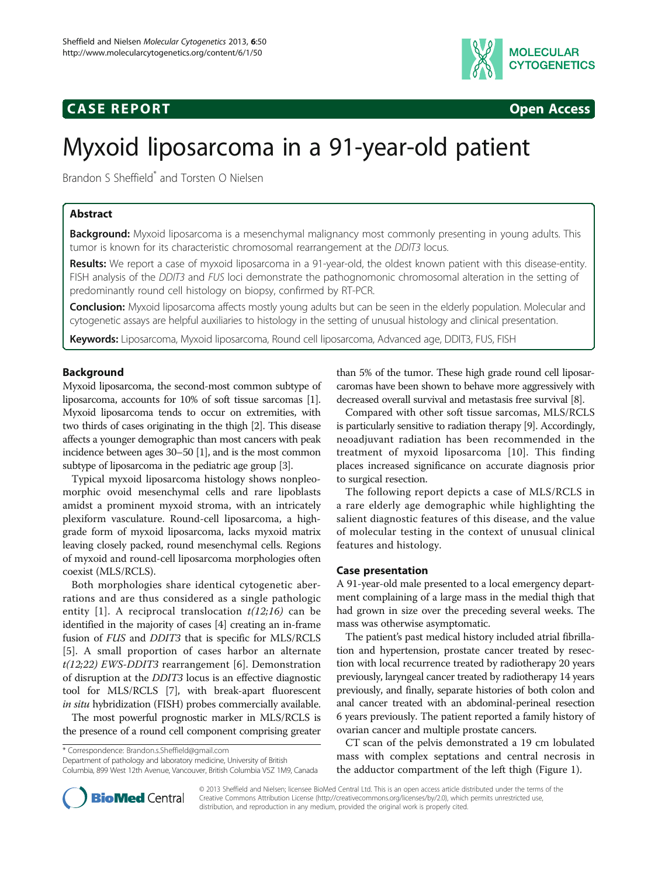

# **CASE REPORT CASE REPORT**



# Myxoid liposarcoma in a 91-year-old patient

Brandon S Sheffield\* and Torsten O Nielsen

# Abstract

**Background:** Myxoid liposarcoma is a mesenchymal malignancy most commonly presenting in young adults. This tumor is known for its characteristic chromosomal rearrangement at the DDIT3 locus.

Results: We report a case of myxoid liposarcoma in a 91-year-old, the oldest known patient with this disease-entity. FISH analysis of the DDIT3 and FUS loci demonstrate the pathognomonic chromosomal alteration in the setting of predominantly round cell histology on biopsy, confirmed by RT-PCR.

Conclusion: Myxoid liposarcoma affects mostly young adults but can be seen in the elderly population. Molecular and cytogenetic assays are helpful auxiliaries to histology in the setting of unusual histology and clinical presentation.

Keywords: Liposarcoma, Myxoid liposarcoma, Round cell liposarcoma, Advanced age, DDIT3, FUS, FISH

# Background

Myxoid liposarcoma, the second-most common subtype of liposarcoma, accounts for 10% of soft tissue sarcomas [[1](#page-3-0)]. Myxoid liposarcoma tends to occur on extremities, with two thirds of cases originating in the thigh [\[2\]](#page-3-0). This disease affects a younger demographic than most cancers with peak incidence between ages 30–50 [\[1](#page-3-0)], and is the most common subtype of liposarcoma in the pediatric age group [[3](#page-3-0)].

Typical myxoid liposarcoma histology shows nonpleomorphic ovoid mesenchymal cells and rare lipoblasts amidst a prominent myxoid stroma, with an intricately plexiform vasculature. Round-cell liposarcoma, a highgrade form of myxoid liposarcoma, lacks myxoid matrix leaving closely packed, round mesenchymal cells. Regions of myxoid and round-cell liposarcoma morphologies often coexist (MLS/RCLS).

Both morphologies share identical cytogenetic aberrations and are thus considered as a single pathologic entity [[1](#page-3-0)]. A reciprocal translocation  $t(12;16)$  can be identified in the majority of cases [\[4](#page-3-0)] creating an in-frame fusion of FUS and DDIT3 that is specific for MLS/RCLS [[5\]](#page-3-0). A small proportion of cases harbor an alternate  $t(12;22)$  EWS-DDIT3 rearrangement [\[6](#page-3-0)]. Demonstration of disruption at the DDIT3 locus is an effective diagnostic tool for MLS/RCLS [[7\]](#page-3-0), with break-apart fluorescent in situ hybridization (FISH) probes commercially available.

The most powerful prognostic marker in MLS/RCLS is the presence of a round cell component comprising greater

\* Correspondence: [Brandon.s.Sheffield@gmail.com](mailto:Brandon.s.Sheffield@gmail.com)

Department of pathology and laboratory medicine, University of British Columbia, 899 West 12th Avenue, Vancouver, British Columbia V5Z 1M9, Canada

than 5% of the tumor. These high grade round cell liposarcaromas have been shown to behave more aggressively with decreased overall survival and metastasis free survival [[8](#page-3-0)].

Compared with other soft tissue sarcomas, MLS/RCLS is particularly sensitive to radiation therapy [\[9\]](#page-3-0). Accordingly, neoadjuvant radiation has been recommended in the treatment of myxoid liposarcoma [[10](#page-3-0)]. This finding places increased significance on accurate diagnosis prior to surgical resection.

The following report depicts a case of MLS/RCLS in a rare elderly age demographic while highlighting the salient diagnostic features of this disease, and the value of molecular testing in the context of unusual clinical features and histology.

# Case presentation

A 91-year-old male presented to a local emergency department complaining of a large mass in the medial thigh that had grown in size over the preceding several weeks. The mass was otherwise asymptomatic.

The patient's past medical history included atrial fibrillation and hypertension, prostate cancer treated by resection with local recurrence treated by radiotherapy 20 years previously, laryngeal cancer treated by radiotherapy 14 years previously, and finally, separate histories of both colon and anal cancer treated with an abdominal-perineal resection 6 years previously. The patient reported a family history of ovarian cancer and multiple prostate cancers.

CT scan of the pelvis demonstrated a 19 cm lobulated mass with complex septations and central necrosis in the adductor compartment of the left thigh (Figure [1\)](#page-1-0).



© 2013 Sheffield and Nielsen; licensee BioMed Central Ltd. This is an open access article distributed under the terms of the Creative Commons Attribution License (<http://creativecommons.org/licenses/by/2.0>), which permits unrestricted use, distribution, and reproduction in any medium, provided the original work is properly cited.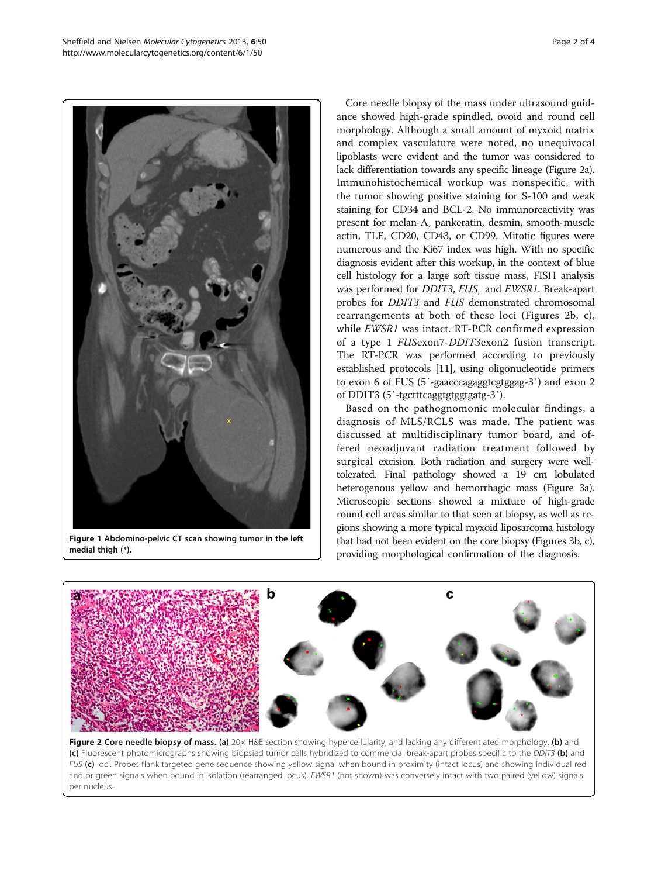<span id="page-1-0"></span>

Figure 1 Abdomino-pelvic CT scan showing tumor in the left medial thigh (\*).

Core needle biopsy of the mass under ultrasound guidance showed high-grade spindled, ovoid and round cell morphology. Although a small amount of myxoid matrix and complex vasculature were noted, no unequivocal lipoblasts were evident and the tumor was considered to lack differentiation towards any specific lineage (Figure 2a). Immunohistochemical workup was nonspecific, with the tumor showing positive staining for S-100 and weak staining for CD34 and BCL-2. No immunoreactivity was present for melan-A, pankeratin, desmin, smooth-muscle actin, TLE, CD20, CD43, or CD99. Mitotic figures were numerous and the Ki67 index was high. With no specific diagnosis evident after this workup, in the context of blue cell histology for a large soft tissue mass, FISH analysis was performed for *DDIT3*, *FUS* and *EWSR1*. Break-apart probes for DDIT3 and FUS demonstrated chromosomal rearrangements at both of these loci (Figures 2b, c), while EWSR1 was intact. RT-PCR confirmed expression of a type 1 FUSexon7-DDIT3exon2 fusion transcript. The RT-PCR was performed according to previously established protocols [\[11](#page-3-0)], using oligonucleotide primers to exon 6 of FUS (5′-gaacccagaggtcgtggag-3′) and exon 2 of DDIT3 (5′-tgctttcaggtgtggtgatg-3′).

Based on the pathognomonic molecular findings, a diagnosis of MLS/RCLS was made. The patient was discussed at multidisciplinary tumor board, and offered neoadjuvant radiation treatment followed by surgical excision. Both radiation and surgery were welltolerated. Final pathology showed a 19 cm lobulated heterogenous yellow and hemorrhagic mass (Figure [3](#page-2-0)a). Microscopic sections showed a mixture of high-grade round cell areas similar to that seen at biopsy, as well as regions showing a more typical myxoid liposarcoma histology that had not been evident on the core biopsy (Figures [3b](#page-2-0), c), providing morphological confirmation of the diagnosis.



Figure 2 Core needle biopsy of mass. (a) 20x H&E section showing hypercellularity, and lacking any differentiated morphology. (b) and (c) Fluorescent photomicrographs showing biopsied tumor cells hybridized to commercial break-apart probes specific to the DDIT3 (b) and FUS (c) loci. Probes flank targeted gene sequence showing yellow signal when bound in proximity (intact locus) and showing individual red and or green signals when bound in isolation (rearranged locus). EWSR1 (not shown) was conversely intact with two paired (yellow) signals per nucleus.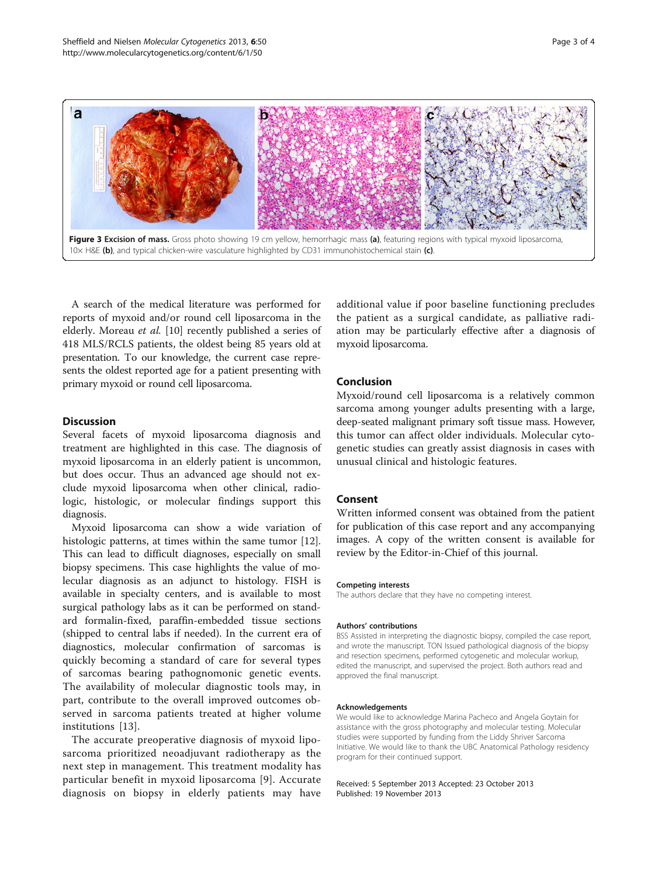<span id="page-2-0"></span>

A search of the medical literature was performed for reports of myxoid and/or round cell liposarcoma in the elderly. Moreau et al. [[10\]](#page-3-0) recently published a series of 418 MLS/RCLS patients, the oldest being 85 years old at presentation. To our knowledge, the current case represents the oldest reported age for a patient presenting with primary myxoid or round cell liposarcoma.

#### **Discussion**

Several facets of myxoid liposarcoma diagnosis and treatment are highlighted in this case. The diagnosis of myxoid liposarcoma in an elderly patient is uncommon, but does occur. Thus an advanced age should not exclude myxoid liposarcoma when other clinical, radiologic, histologic, or molecular findings support this diagnosis.

Myxoid liposarcoma can show a wide variation of histologic patterns, at times within the same tumor [\[12](#page-3-0)]. This can lead to difficult diagnoses, especially on small biopsy specimens. This case highlights the value of molecular diagnosis as an adjunct to histology. FISH is available in specialty centers, and is available to most surgical pathology labs as it can be performed on standard formalin-fixed, paraffin-embedded tissue sections (shipped to central labs if needed). In the current era of diagnostics, molecular confirmation of sarcomas is quickly becoming a standard of care for several types of sarcomas bearing pathognomonic genetic events. The availability of molecular diagnostic tools may, in part, contribute to the overall improved outcomes observed in sarcoma patients treated at higher volume institutions [[13](#page-3-0)].

The accurate preoperative diagnosis of myxoid liposarcoma prioritized neoadjuvant radiotherapy as the next step in management. This treatment modality has particular benefit in myxoid liposarcoma [\[9\]](#page-3-0). Accurate diagnosis on biopsy in elderly patients may have additional value if poor baseline functioning precludes the patient as a surgical candidate, as palliative radiation may be particularly effective after a diagnosis of myxoid liposarcoma.

# Conclusion

Myxoid/round cell liposarcoma is a relatively common sarcoma among younger adults presenting with a large, deep-seated malignant primary soft tissue mass. However, this tumor can affect older individuals. Molecular cytogenetic studies can greatly assist diagnosis in cases with unusual clinical and histologic features.

# Consent

Written informed consent was obtained from the patient for publication of this case report and any accompanying images. A copy of the written consent is available for review by the Editor-in-Chief of this journal.

#### Competing interests

The authors declare that they have no competing interest.

#### Authors' contributions

BSS Assisted in interpreting the diagnostic biopsy, compiled the case report, and wrote the manuscript. TON Issued pathological diagnosis of the biopsy and resection specimens, performed cytogenetic and molecular workup, edited the manuscript, and supervised the project. Both authors read and approved the final manuscript.

#### Acknowledgements

We would like to acknowledge Marina Pacheco and Angela Goytain for assistance with the gross photography and molecular testing. Molecular studies were supported by funding from the Liddy Shriver Sarcoma Initiative. We would like to thank the UBC Anatomical Pathology residency program for their continued support.

Received: 5 September 2013 Accepted: 23 October 2013 Published: 19 November 2013